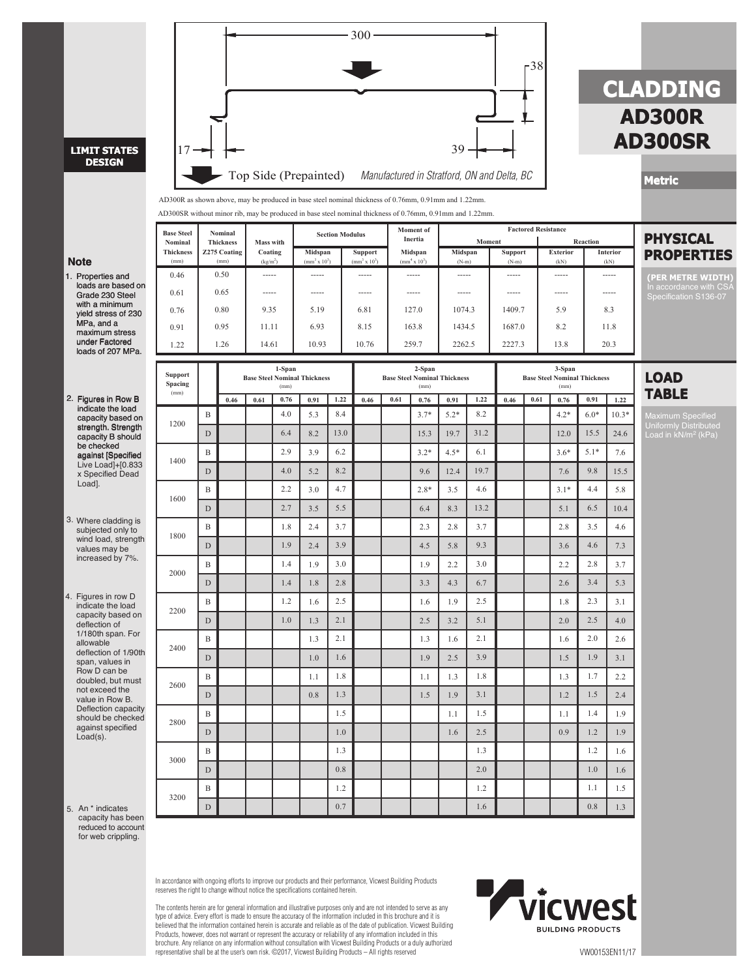

An \* indicates 5. capacity has been reduced to account for web crippling.

> In accordance with ongoing efforts to improve our products and their performance, Vicwest Building Products reserves the right to change without notice the specifications contained herein.

The contents herein are for general information and illustrative purposes only and are not intended to serve as any type of advice. Every effort is made to ensure the accuracy of the information included in this brochure and it is believed that the information contained herein is accurate and reliable as of the date of publication. Vicwest Building Products, however, does not warrant or represent the accuracy or reliability of any information included in this<br>brochure. Any reliance on any information without consultation with Vicwest Building Products or a duly autho representative shall be at the user's own risk. ©2017, Vicwest Building Products – All rights reserved VW00153EN11/17